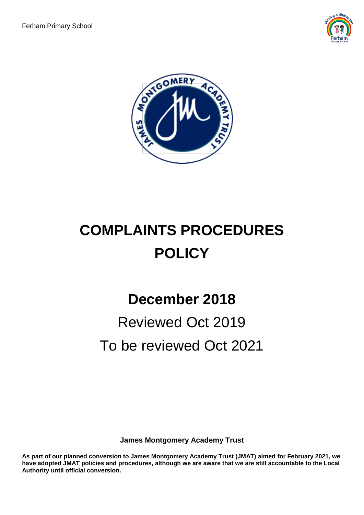



# **COMPLAINTS PROCEDURES POLICY**

## **December 2018**

## Reviewed Oct 2019 To be reviewed Oct 2021

**James Montgomery Academy Trust** 

**As part of our planned conversion to James Montgomery Academy Trust (JMAT) aimed for February 2021, we have adopted JMAT policies and procedures, although we are aware that we are still accountable to the Local Authority until official conversion.**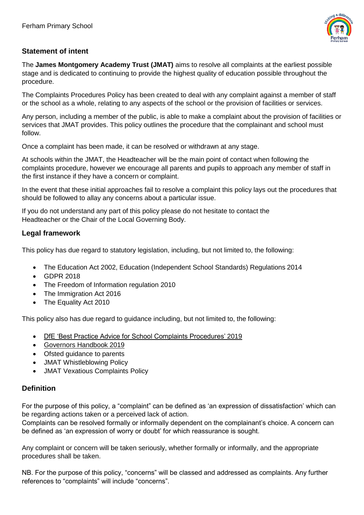

#### **Statement of intent**

The **James Montgomery Academy Trust (JMAT)** aims to resolve all complaints at the earliest possible stage and is dedicated to continuing to provide the highest quality of education possible throughout the procedure.

The Complaints Procedures Policy has been created to deal with any complaint against a member of staff or the school as a whole, relating to any aspects of the school or the provision of facilities or services.

Any person, including a member of the public, is able to make a complaint about the provision of facilities or services that JMAT provides. This policy outlines the procedure that the complainant and school must follow.

Once a complaint has been made, it can be resolved or withdrawn at any stage.

At schools within the JMAT, the Headteacher will be the main point of contact when following the complaints procedure, however we encourage all parents and pupils to approach any member of staff in the first instance if they have a concern or complaint.

In the event that these initial approaches fail to resolve a complaint this policy lays out the procedures that should be followed to allay any concerns about a particular issue.

If you do not understand any part of this policy please do not hesitate to contact the Headteacher or the Chair of the Local Governing Body.

#### **Legal framework**

This policy has due regard to statutory legislation, including, but not limited to, the following:

- The Education Act 2002, Education (Independent School Standards) Regulations 2014
- GDPR 2018
- The Freedom of Information regulation 2010
- The Immigration Act 2016
- The Equality Act 2010

This policy also has due regard to guidance including, but not limited to, the following:

- [DfE 'Best Practice Advice for School Complaints Procedures'](https://www.gov.uk/government/publications/school-complaints-procedures/best-practice-advice-for-school-complaints-procedures-2019#contents) 2019
- Governors Handbook 2019
- Ofsted guidance to parents
- JMAT Whistleblowing Policy
- JMAT Vexatious Complaints Policy

#### **Definition**

For the purpose of this policy, a "complaint" can be defined as 'an expression of dissatisfaction' which can be regarding actions taken or a perceived lack of action.

Complaints can be resolved formally or informally dependent on the complainant's choice. A concern can be defined as 'an expression of worry or doubt' for which reassurance is sought.

Any complaint or concern will be taken seriously, whether formally or informally, and the appropriate procedures shall be taken.

NB. For the purpose of this policy, "concerns" will be classed and addressed as complaints. Any further references to "complaints" will include "concerns".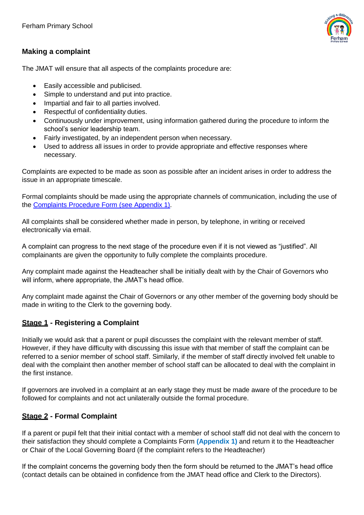

### **Making a complaint**

The JMAT will ensure that all aspects of the complaints procedure are:

- Easily accessible and publicised.
- Simple to understand and put into practice.
- Impartial and fair to all parties involved.
- Respectful of confidentiality duties.
- Continuously under improvement, using information gathered during the procedure to inform the school's senior leadership team.
- Fairly investigated, by an independent person when necessary.
- Used to address all issues in order to provide appropriate and effective responses where necessary.

Complaints are expected to be made as soon as possible after an incident arises in order to address the issue in an appropriate timescale.

Formal complaints should be made using the appropriate channels of communication, including the use of the [Complaints Procedure Form \(](#page-5-0)see Appendix 1).

All complaints shall be considered whether made in person, by telephone, in writing or received electronically via email.

A complaint can progress to the next stage of the procedure even if it is not viewed as "justified". All complainants are given the opportunity to fully complete the complaints procedure.

Any complaint made against the Headteacher shall be initially dealt with by the Chair of Governors who will inform, where appropriate, the JMAT's head office.

Any complaint made against the Chair of Governors or any other member of the governing body should be made in writing to the Clerk to the governing body.

## **Stage 1 - Registering a Complaint**

Initially we would ask that a parent or pupil discusses the complaint with the relevant member of staff. However, if they have difficulty with discussing this issue with that member of staff the complaint can be referred to a senior member of school staff. Similarly, if the member of staff directly involved felt unable to deal with the complaint then another member of school staff can be allocated to deal with the complaint in the first instance.

If governors are involved in a complaint at an early stage they must be made aware of the procedure to be followed for complaints and not act unilaterally outside the formal procedure.

## **Stage 2 - Formal Complaint**

If a parent or pupil felt that their initial contact with a member of school staff did not deal with the concern to their satisfaction they should complete a Complaints Form **(Appendix 1)** and return it to the Headteacher or Chair of the Local Governing Board (if the complaint refers to the Headteacher)

If the complaint concerns the governing body then the form should be returned to the JMAT's head office (contact details can be obtained in confidence from the JMAT head office and Clerk to the Directors).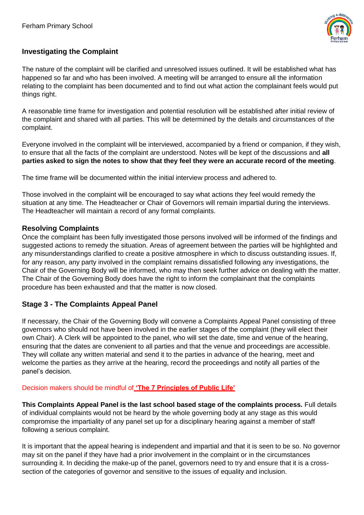

#### **Investigating the Complaint**

The nature of the complaint will be clarified and unresolved issues outlined. It will be established what has happened so far and who has been involved. A meeting will be arranged to ensure all the information relating to the complaint has been documented and to find out what action the complainant feels would put things right.

A reasonable time frame for investigation and potential resolution will be established after initial review of the complaint and shared with all parties. This will be determined by the details and circumstances of the complaint.

Everyone involved in the complaint will be interviewed, accompanied by a friend or companion, if they wish, to ensure that all the facts of the complaint are understood. Notes will be kept of the discussions and **all parties asked to sign the notes to show that they feel they were an accurate record of the meeting**.

The time frame will be documented within the initial interview process and adhered to.

Those involved in the complaint will be encouraged to say what actions they feel would remedy the situation at any time. The Headteacher or Chair of Governors will remain impartial during the interviews. The Headteacher will maintain a record of any formal complaints.

#### **Resolving Complaints**

Once the complaint has been fully investigated those persons involved will be informed of the findings and suggested actions to remedy the situation. Areas of agreement between the parties will be highlighted and any misunderstandings clarified to create a positive atmosphere in which to discuss outstanding issues. If, for any reason, any party involved in the complaint remains dissatisfied following any investigations, the Chair of the Governing Body will be informed, who may then seek further advice on dealing with the matter. The Chair of the Governing Body does have the right to inform the complainant that the complaints procedure has been exhausted and that the matter is now closed.

#### **Stage 3 - The Complaints Appeal Panel**

If necessary, the Chair of the Governing Body will convene a Complaints Appeal Panel consisting of three governors who should not have been involved in the earlier stages of the complaint (they will elect their own Chair). A Clerk will be appointed to the panel, who will set the date, time and venue of the hearing, ensuring that the dates are convenient to all parties and that the venue and proceedings are accessible. They will collate any written material and send it to the parties in advance of the hearing, meet and welcome the parties as they arrive at the hearing, record the proceedings and notify all parties of the panel's decision.

#### Decision makers should be mindful of **['The 7 Principles of Public Life'](https://www.gov.uk/government/publications/the-7-principles-of-public-life/the-7-principles-of-public-life--2)**

**This Complaints Appeal Panel is the last school based stage of the complaints process.** Full details of individual complaints would not be heard by the whole governing body at any stage as this would compromise the impartiality of any panel set up for a disciplinary hearing against a member of staff following a serious complaint.

It is important that the appeal hearing is independent and impartial and that it is seen to be so. No governor may sit on the panel if they have had a prior involvement in the complaint or in the circumstances surrounding it. In deciding the make-up of the panel, governors need to try and ensure that it is a crosssection of the categories of governor and sensitive to the issues of equality and inclusion.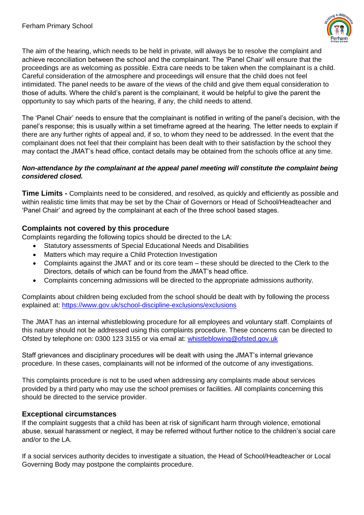

The aim of the hearing, which needs to be held in private, will always be to resolve the complaint and achieve reconciliation between the school and the complainant. The 'Panel Chair' will ensure that the proceedings are as welcoming as possible. Extra care needs to be taken when the complainant is a child. Careful consideration of the atmosphere and proceedings will ensure that the child does not feel intimidated. The panel needs to be aware of the views of the child and give them equal consideration to those of adults. Where the child's parent is the complainant, it would be helpful to give the parent the opportunity to say which parts of the hearing, if any, the child needs to attend.

The 'Panel Chair' needs to ensure that the complainant is notified in writing of the panel's decision, with the panel's response; this is usually within a set timeframe agreed at the hearing. The letter needs to explain if there are any further rights of appeal and, if so, to whom they need to be addressed. In the event that the complainant does not feel that their complaint has been dealt with to their satisfaction by the school they may contact the JMAT's head office, contact details may be obtained from the schools office at any time.

#### *Non-attendance by the complainant at the appeal panel meeting will constitute the complaint being considered closed.*

**Time Limits -** Complaints need to be considered, and resolved, as quickly and efficiently as possible and within realistic time limits that may be set by the Chair of Governors or Head of School/Headteacher and 'Panel Chair' and agreed by the complainant at each of the three school based stages.

#### **Complaints not covered by this procedure**

Complaints regarding the following topics should be directed to the LA:

- Statutory assessments of Special Educational Needs and Disabilities
- Matters which may require a Child Protection Investigation
- Complaints against the JMAT and or its core team these should be directed to the Clerk to the Directors, details of which can be found from the JMAT's head office.
- Complaints concerning admissions will be directed to the appropriate admissions authority.

Complaints about children being excluded from the school should be dealt with by following the process explained at:<https://www.gov.uk/school-discipline-exclusions/exclusions>

The JMAT has an internal whistleblowing procedure for all employees and voluntary staff. Complaints of this nature should not be addressed using this complaints procedure. These concerns can be directed to Ofsted by telephone on: 0300 123 3155 or via email at: [whistleblowing@ofsted.gov.uk](mailto:whistleblowing@ofsted.gov.uk)

Staff grievances and disciplinary procedures will be dealt with using the JMAT's internal grievance procedure. In these cases, complainants will not be informed of the outcome of any investigations.

This complaints procedure is not to be used when addressing any complaints made about services provided by a third party who may use the school premises or facilities. All complaints concerning this should be directed to the service provider.

#### **Exceptional circumstances**

If the complaint suggests that a child has been at risk of significant harm through violence, emotional abuse, sexual harassment or neglect, it may be referred without further notice to the children's social care and/or to the LA.

If a social services authority decides to investigate a situation, the Head of School/Headteacher or Local Governing Body may postpone the complaints procedure.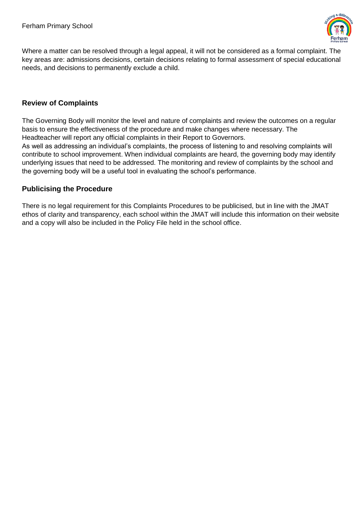

<span id="page-5-0"></span>Where a matter can be resolved through a legal appeal, it will not be considered as a formal complaint. The key areas are: admissions decisions, certain decisions relating to formal assessment of special educational needs, and decisions to permanently exclude a child.

#### **Review of Complaints**

The Governing Body will monitor the level and nature of complaints and review the outcomes on a regular basis to ensure the effectiveness of the procedure and make changes where necessary. The Headteacher will report any official complaints in their Report to Governors.

As well as addressing an individual's complaints, the process of listening to and resolving complaints will contribute to school improvement. When individual complaints are heard, the governing body may identify underlying issues that need to be addressed. The monitoring and review of complaints by the school and the governing body will be a useful tool in evaluating the school's performance.

#### **Publicising the Procedure**

There is no legal requirement for this Complaints Procedures to be publicised, but in line with the JMAT ethos of clarity and transparency, each school within the JMAT will include this information on their website and a copy will also be included in the Policy File held in the school office.